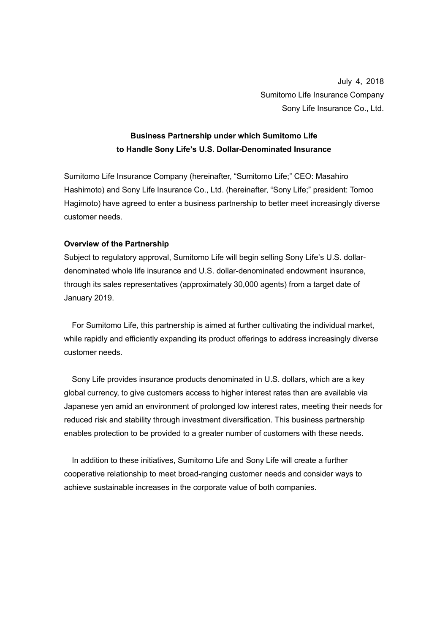July 4, 2018 Sumitomo Life Insurance Company Sony Life Insurance Co., Ltd.

## **Business Partnership under which Sumitomo Life to Handle Sony Life's U.S. Dollar-Denominated Insurance**

Sumitomo Life Insurance Company (hereinafter, "Sumitomo Life;" CEO: Masahiro Hashimoto) and Sony Life Insurance Co., Ltd. (hereinafter, "Sony Life;" president: Tomoo Hagimoto) have agreed to enter a business partnership to better meet increasingly diverse customer needs.

## **Overview of the Partnership**

Subject to regulatory approval, Sumitomo Life will begin selling Sony Life's U.S. dollardenominated whole life insurance and U.S. dollar-denominated endowment insurance, through its sales representatives (approximately 30,000 agents) from a target date of January 2019.

For Sumitomo Life, this partnership is aimed at further cultivating the individual market, while rapidly and efficiently expanding its product offerings to address increasingly diverse customer needs.

Sony Life provides insurance products denominated in U.S. dollars, which are a key global currency, to give customers access to higher interest rates than are available via Japanese yen amid an environment of prolonged low interest rates, meeting their needs for reduced risk and stability through investment diversification. This business partnership enables protection to be provided to a greater number of customers with these needs.

In addition to these initiatives, Sumitomo Life and Sony Life will create a further cooperative relationship to meet broad-ranging customer needs and consider ways to achieve sustainable increases in the corporate value of both companies.